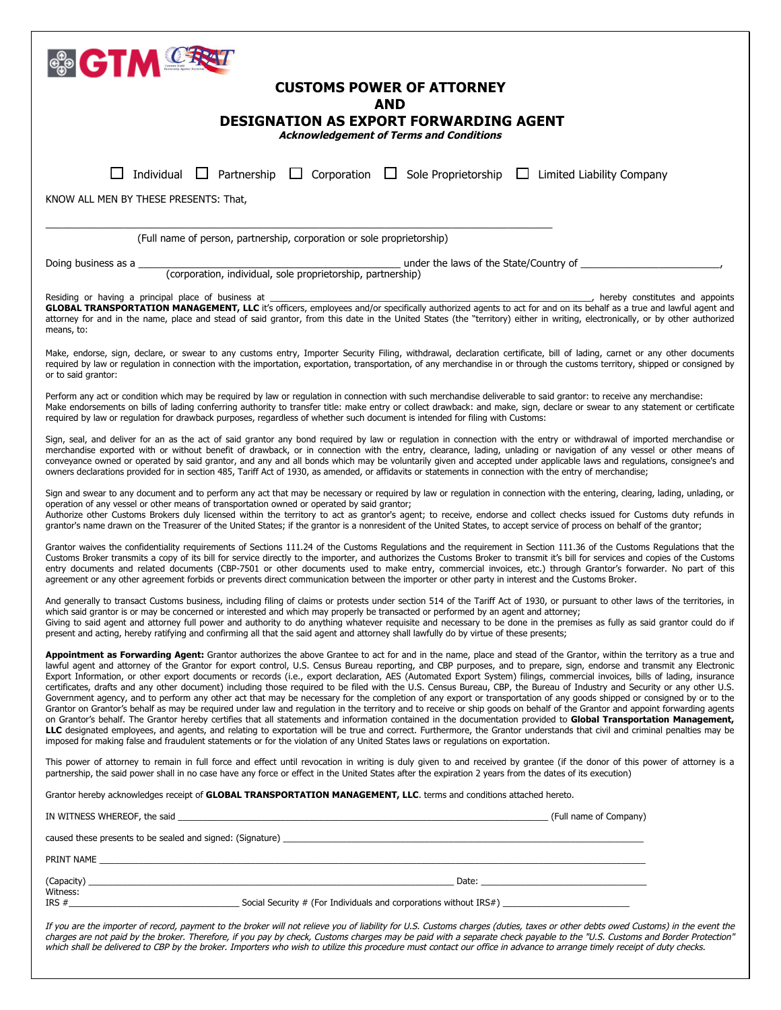

# **CUSTOMS POWER OF ATTORNEY**

### **AND**

## **DESIGNATION AS EXPORT FORWARDING AGENT**

**Acknowledgement of Terms and Conditions**

| Acknowledgement or Tenns and Conditions                                                                                                                                                                                                                                                                                                                                                                                                                                                                                                                                                                                                                                                                                                                                                                                                                                                                                                                                                                                                                                                                                                                                                                                                                                                                                                                                                                                                                                                                                                                     |  |  |  |  |
|-------------------------------------------------------------------------------------------------------------------------------------------------------------------------------------------------------------------------------------------------------------------------------------------------------------------------------------------------------------------------------------------------------------------------------------------------------------------------------------------------------------------------------------------------------------------------------------------------------------------------------------------------------------------------------------------------------------------------------------------------------------------------------------------------------------------------------------------------------------------------------------------------------------------------------------------------------------------------------------------------------------------------------------------------------------------------------------------------------------------------------------------------------------------------------------------------------------------------------------------------------------------------------------------------------------------------------------------------------------------------------------------------------------------------------------------------------------------------------------------------------------------------------------------------------------|--|--|--|--|
| Individual<br>Partnership<br>$\Box$ Corporation<br>Sole Proprietorship<br>$\Box$<br>$\Box$<br>Limited Liability Company                                                                                                                                                                                                                                                                                                                                                                                                                                                                                                                                                                                                                                                                                                                                                                                                                                                                                                                                                                                                                                                                                                                                                                                                                                                                                                                                                                                                                                     |  |  |  |  |
| KNOW ALL MEN BY THESE PRESENTS: That,                                                                                                                                                                                                                                                                                                                                                                                                                                                                                                                                                                                                                                                                                                                                                                                                                                                                                                                                                                                                                                                                                                                                                                                                                                                                                                                                                                                                                                                                                                                       |  |  |  |  |
| (Full name of person, partnership, corporation or sole proprietorship)                                                                                                                                                                                                                                                                                                                                                                                                                                                                                                                                                                                                                                                                                                                                                                                                                                                                                                                                                                                                                                                                                                                                                                                                                                                                                                                                                                                                                                                                                      |  |  |  |  |
| under the laws of the State/Country of<br>Doing business as a                                                                                                                                                                                                                                                                                                                                                                                                                                                                                                                                                                                                                                                                                                                                                                                                                                                                                                                                                                                                                                                                                                                                                                                                                                                                                                                                                                                                                                                                                               |  |  |  |  |
| (corporation, individual, sole proprietorship, partnership)                                                                                                                                                                                                                                                                                                                                                                                                                                                                                                                                                                                                                                                                                                                                                                                                                                                                                                                                                                                                                                                                                                                                                                                                                                                                                                                                                                                                                                                                                                 |  |  |  |  |
| Residing or having a principal place of business at<br>, hereby constitutes and appoints<br>GLOBAL TRANSPORTATION MANAGEMENT, LLC it's officers, employees and/or specifically authorized agents to act for and on its behalf as a true and lawful agent and<br>attorney for and in the name, place and stead of said grantor, from this date in the United States (the "territory) either in writing, electronically, or by other authorized<br>means, to:                                                                                                                                                                                                                                                                                                                                                                                                                                                                                                                                                                                                                                                                                                                                                                                                                                                                                                                                                                                                                                                                                                 |  |  |  |  |
| Make, endorse, sign, declare, or swear to any customs entry, Importer Security Filing, withdrawal, declaration certificate, bill of lading, carnet or any other documents<br>required by law or regulation in connection with the importation, exportation, transportation, of any merchandise in or through the customs territory, shipped or consigned by<br>or to said grantor:                                                                                                                                                                                                                                                                                                                                                                                                                                                                                                                                                                                                                                                                                                                                                                                                                                                                                                                                                                                                                                                                                                                                                                          |  |  |  |  |
| Perform any act or condition which may be required by law or regulation in connection with such merchandise deliverable to said grantor: to receive any merchandise:<br>Make endorsements on bills of lading conferring authority to transfer title: make entry or collect drawback: and make, sign, declare or swear to any statement or certificate<br>required by law or regulation for drawback purposes, regardless of whether such document is intended for filing with Customs:                                                                                                                                                                                                                                                                                                                                                                                                                                                                                                                                                                                                                                                                                                                                                                                                                                                                                                                                                                                                                                                                      |  |  |  |  |
| Sign, seal, and deliver for an as the act of said grantor any bond required by law or regulation in connection with the entry or withdrawal of imported merchandise or<br>merchandise exported with or without benefit of drawback, or in connection with the entry, clearance, lading, unlading or navigation of any vessel or other means of<br>conveyance owned or operated by said grantor, and any and all bonds which may be voluntarily given and accepted under applicable laws and regulations, consignee's and<br>owners declarations provided for in section 485, Tariff Act of 1930, as amended, or affidavits or statements in connection with the entry of merchandise;                                                                                                                                                                                                                                                                                                                                                                                                                                                                                                                                                                                                                                                                                                                                                                                                                                                                       |  |  |  |  |
| Sign and swear to any document and to perform any act that may be necessary or required by law or regulation in connection with the entering, clearing, lading, unlading, or<br>operation of any vessel or other means of transportation owned or operated by said grantor;<br>Authorize other Customs Brokers duly licensed within the territory to act as grantor's agent; to receive, endorse and collect checks issued for Customs duty refunds in<br>grantor's name drawn on the Treasurer of the United States; if the grantor is a nonresident of the United States, to accept service of process on behalf of the grantor;                                                                                                                                                                                                                                                                                                                                                                                                                                                                                                                                                                                                                                                                                                                                                                                                                                                                                                                          |  |  |  |  |
| Grantor waives the confidentiality requirements of Sections 111.24 of the Customs Regulations and the requirement in Section 111.36 of the Customs Regulations that the<br>Customs Broker transmits a copy of its bill for service directly to the importer, and authorizes the Customs Broker to transmit it's bill for services and copies of the Customs<br>entry documents and related documents (CBP-7501 or other documents used to make entry, commercial invoices, etc.) through Grantor's forwarder. No part of this<br>agreement or any other agreement forbids or prevents direct communication between the importer or other party in interest and the Customs Broker.                                                                                                                                                                                                                                                                                                                                                                                                                                                                                                                                                                                                                                                                                                                                                                                                                                                                          |  |  |  |  |
| And generally to transact Customs business, including filing of claims or protests under section 514 of the Tariff Act of 1930, or pursuant to other laws of the territories, in<br>which said grantor is or may be concerned or interested and which may properly be transacted or performed by an agent and attorney;<br>Giving to said agent and attorney full power and authority to do anything whatever requisite and necessary to be done in the premises as fully as said grantor could do if<br>present and acting, hereby ratifying and confirming all that the said agent and attorney shall lawfully do by virtue of these presents;                                                                                                                                                                                                                                                                                                                                                                                                                                                                                                                                                                                                                                                                                                                                                                                                                                                                                                            |  |  |  |  |
| Appointment as Forwarding Agent: Grantor authorizes the above Grantee to act for and in the name, place and stead of the Grantor, within the territory as a true and<br>lawful agent and attorney of the Grantor for export control, U.S. Census Bureau reporting, and CBP purposes, and to prepare, sign, endorse and transmit any Electronic<br>Export Information, or other export documents or records (i.e., export declaration, AES (Automated Export System) filings, commercial invoices, bills of lading, insurance<br>certificates, drafts and any other document) including those required to be filed with the U.S. Census Bureau, CBP, the Bureau of Industry and Security or any other U.S.<br>Government agency, and to perform any other act that may be necessary for the completion of any export or transportation of any goods shipped or consigned by or to the<br>Grantor on Grantor's behalf as may be required under law and regulation in the territory and to receive or ship goods on behalf of the Grantor and appoint forwarding agents<br>on Grantor's behalf. The Grantor hereby certifies that all statements and information contained in the documentation provided to Global Transportation Management,<br>LLC designated employees, and agents, and relating to exportation will be true and correct. Furthermore, the Grantor understands that civil and criminal penalties may be<br>imposed for making false and fraudulent statements or for the violation of any United States laws or regulations on exportation. |  |  |  |  |
| This power of attorney to remain in full force and effect until revocation in writing is duly given to and received by grantee (if the donor of this power of attorney is a<br>partnership, the said power shall in no case have any force or effect in the United States after the expiration 2 years from the dates of its execution)                                                                                                                                                                                                                                                                                                                                                                                                                                                                                                                                                                                                                                                                                                                                                                                                                                                                                                                                                                                                                                                                                                                                                                                                                     |  |  |  |  |
| Grantor hereby acknowledges receipt of <b>GLOBAL TRANSPORTATION MANAGEMENT, LLC</b> . terms and conditions attached hereto.                                                                                                                                                                                                                                                                                                                                                                                                                                                                                                                                                                                                                                                                                                                                                                                                                                                                                                                                                                                                                                                                                                                                                                                                                                                                                                                                                                                                                                 |  |  |  |  |
|                                                                                                                                                                                                                                                                                                                                                                                                                                                                                                                                                                                                                                                                                                                                                                                                                                                                                                                                                                                                                                                                                                                                                                                                                                                                                                                                                                                                                                                                                                                                                             |  |  |  |  |
|                                                                                                                                                                                                                                                                                                                                                                                                                                                                                                                                                                                                                                                                                                                                                                                                                                                                                                                                                                                                                                                                                                                                                                                                                                                                                                                                                                                                                                                                                                                                                             |  |  |  |  |
|                                                                                                                                                                                                                                                                                                                                                                                                                                                                                                                                                                                                                                                                                                                                                                                                                                                                                                                                                                                                                                                                                                                                                                                                                                                                                                                                                                                                                                                                                                                                                             |  |  |  |  |
| Witness:                                                                                                                                                                                                                                                                                                                                                                                                                                                                                                                                                                                                                                                                                                                                                                                                                                                                                                                                                                                                                                                                                                                                                                                                                                                                                                                                                                                                                                                                                                                                                    |  |  |  |  |
| If you are the importer of record, payment to the broker will not relieve you of liability for U.S. Customs charges (duties, taxes or other debts owed Customs) in the event the                                                                                                                                                                                                                                                                                                                                                                                                                                                                                                                                                                                                                                                                                                                                                                                                                                                                                                                                                                                                                                                                                                                                                                                                                                                                                                                                                                            |  |  |  |  |

charges are not paid by the broker. Therefore, if you pay by check, Customs charges may be paid with a separate check payable to the "U.S. Customs and Border Protection" which shall be delivered to CBP by the broker. Importers who wish to utilize this procedure must contact our office in advance to arrange timely receipt of duty checks.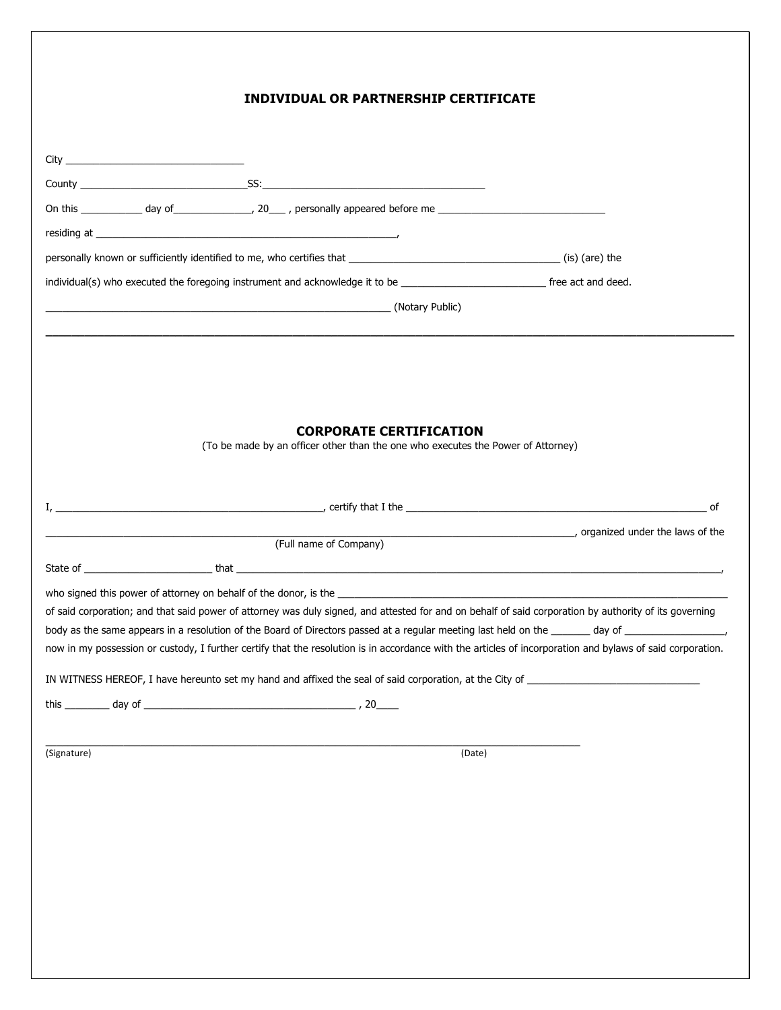|             | <b>INDIVIDUAL OR PARTNERSHIP CERTIFICATE</b>                                                                                                               |        |                                              |
|-------------|------------------------------------------------------------------------------------------------------------------------------------------------------------|--------|----------------------------------------------|
|             |                                                                                                                                                            |        |                                              |
|             |                                                                                                                                                            |        |                                              |
|             |                                                                                                                                                            |        |                                              |
|             |                                                                                                                                                            |        |                                              |
|             |                                                                                                                                                            |        |                                              |
|             |                                                                                                                                                            |        |                                              |
|             | (Notary Public) (Notary Public)                                                                                                                            |        |                                              |
|             |                                                                                                                                                            |        |                                              |
|             |                                                                                                                                                            |        |                                              |
|             |                                                                                                                                                            |        |                                              |
|             | <b>CORPORATE CERTIFICATION</b>                                                                                                                             |        |                                              |
|             | (To be made by an officer other than the one who executes the Power of Attorney)                                                                           |        |                                              |
|             |                                                                                                                                                            |        |                                              |
|             |                                                                                                                                                            |        |                                              |
|             |                                                                                                                                                            |        | comparised under the laws of the laws of the |
|             | (Full name of Company)                                                                                                                                     |        |                                              |
|             |                                                                                                                                                            |        |                                              |
|             |                                                                                                                                                            |        |                                              |
|             | of said corporation; and that said power of attorney was duly signed, and attested for and on behalf of said corporation by authority of its governing     |        |                                              |
|             | now in my possession or custody, I further certify that the resolution is in accordance with the articles of incorporation and bylaws of said corporation. |        |                                              |
|             | IN WITNESS HEREOF, I have hereunto set my hand and affixed the seal of said corporation, at the City of _______________________________                    |        |                                              |
|             |                                                                                                                                                            |        |                                              |
|             |                                                                                                                                                            |        |                                              |
| (Signature) |                                                                                                                                                            | (Date) |                                              |
|             |                                                                                                                                                            |        |                                              |
|             |                                                                                                                                                            |        |                                              |
|             |                                                                                                                                                            |        |                                              |
|             |                                                                                                                                                            |        |                                              |
|             |                                                                                                                                                            |        |                                              |
|             |                                                                                                                                                            |        |                                              |
|             |                                                                                                                                                            |        |                                              |
|             |                                                                                                                                                            |        |                                              |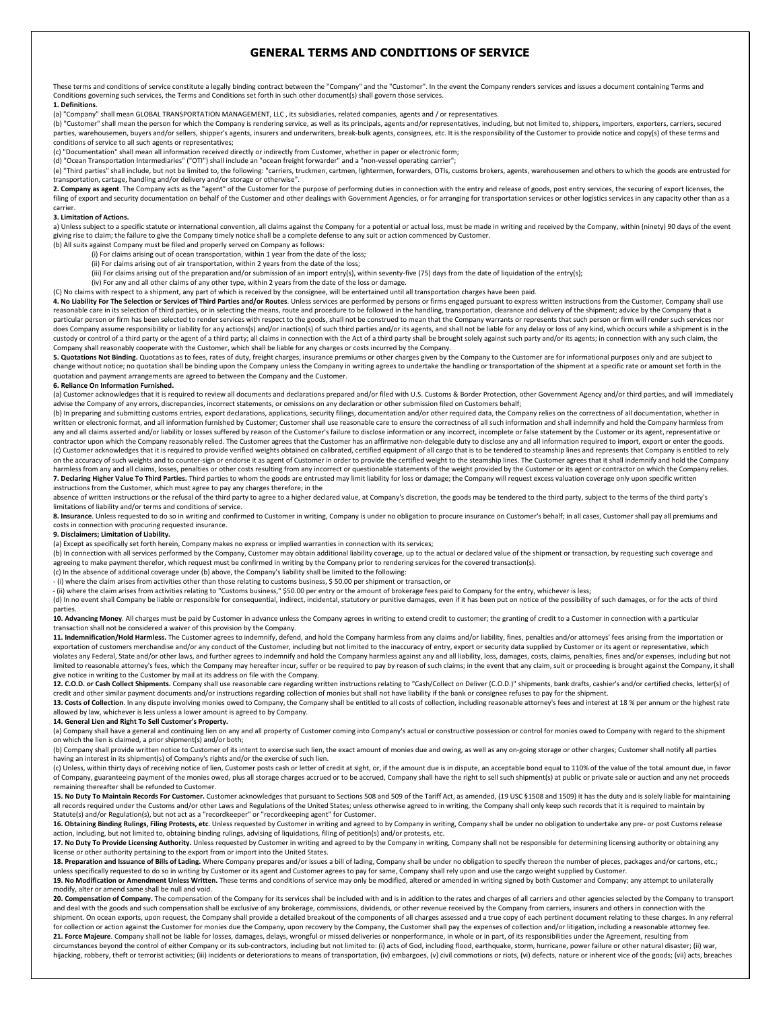### **GENERAL TERMS AND CONDITIONS OF SERVICE**

These terms and conditions of service constitute a legally binding contract between the "Company" and the "Customer". In the event the Company renders services and issues a document containing Terms and Conditions governing such services, the Terms and Conditions set forth in such other document(s) shall govern those services. **1. Definitions**. 

(a) "Company" shall mean GLOBAL TRANSPORTATION MANAGEMENT, LLC, its subsidiaries, related companies, agents and / or representatives.

(b) "Customer" shall mean the person for which the Company is rendering service, as well as its principals, agents and/or representatives, including, but not limited to, shippers, importers, exporters, carriers, secured parties, warehousemen, buyers and/or sellers, shipper's agents, insurers and underwriters, break-bulk agents, consignees, etc. It is the responsibility of the Customer to provide notice and copy(s) of these terms and conditions of service to all such agents or representatives;

(c) "Documentation" shall mean all information received directly or indirectly from Customer, whether in paper or electronic form;

(d) "Ocean Transportation Intermediaries" ("OTI") shall include an "ocean freight forwarder" and a "non-vessel operating carrier";

(e) "Third parties" shall include, but not be limited to, the following: "carriers, truckmen, cartmen, lightermen, forwarders, OTIs, customs brokers, agents, warehousemen and others to which the goods are entrusted for

transportation, cartage, handling and/or delivery and/or storage or otherwise".<br>**2. Company as agent**. The Company acts as the "agent" of the Customer for the purpose of performing duties in connection with the entry and r filing of export and security documentation on behalf of the Customer and other dealings with Government Agencies, or for arranging for transportation services or other logistics services in any capacity other than as a carrier. 

#### **3. Limitation of Actions.**

a) Unless subject to a specific statute or international convention, all claims against the Company for a potential or actual loss, must be made in writing and received by the Company, within (ninety) 90 days of the event giving rise to claim; the failure to give the Company timely notice shall be a complete defense to any suit or action commenced by Customer.

- (b) All suits against Company must be filed and properly served on Company as follows:
	- (i) For claims arising out of ocean transportation, within 1 year from the date of the loss;
	- (ii) For claims arising out of air transportation, within 2 years from the date of the loss;<br>(iii) For claims arising out of the preparation and/or submission of an import entry(s), within seventy-five (75) days from the d
	-

(iv) For any and all other claims of any other type, within 2 years from the date of the loss or damage.

(C) No claims with respect to a shipment, any part of which is received by the consignee, will be entertained until all transportation charges have been paid.

**4. No Liability For The Selection or Services of Third Parties and/or Routes**. Unless services are performed by persons or firms engaged pursuant to express written instructions from the Customer, Company shall use<br>reason particular person or firm has been selected to render services with respect to the goods, shall not be construed to mean that the Company warrants or represents that such person or firm will render such services nor does Company assume responsibility or liability for any actions(s) and/or inaction(s) of such third parties and/or its agents, and shall not be liable for any delay or loss of any kind, which occurs while a shipment is in custody or control of a third party or the agent of a third party; all claims in connection with the Act of a third party shall be brought solely against such party and/or its agents; in connection with any such claim, the

**5. Quotations Not Binding.** Quotations as to fees, rates of duty, freight charges, insurance premiums or other charges given by the Company to the Customer are for informational purposes only and are subject to change without notice; no quotation shall be binding upon the Company unless the Company in writing agrees to undertake the handling or transportation of the shipment at a specific rate or amount set forth in the quotation and payment arrangements are agreed to between the Company and the Customer.

#### **6. Reliance On Information Furnished.**

(a) Customer acknowledges that it is required to review all documents and declarations prepared and/or filed with U.S. Customs & Border Protection, other Government Agency and/or third parties, and will immediately advise the Company of any errors, discrepancies, incorrect statements, or omissions on any declaration or other submission filed on Customers behalf;

(b) In preparing and submitting customs entries, export declarations, applications, security filings, documentation and/or other required data, the Company relies on the correctness of all documentation, whether in written or electronic format, and all information furnished by Customer; Customer shall use reasonable care to ensure the correctness of all such information and shall indemnify and hold the Company harmless from<br>any and a contractor upon which the Company reasonably relied. The Customer agrees that the Customer has an affirmative non-delegable duty to disclose any and all information required to import, export or enter the goods. (c) Customer acknowledges that it is required to provide verified weights obtained on calibrated, certified equipment of all cargo that is to be tendered to steamship lines and represents that Company is entitled to rely on the accuracy of such weights and to counter-sign or endorse it as agent of Customer in order to provide the certified weight to the steamship lines. The Customer agrees that it shall indemnify and hold the Company<br>harml **7.** Declaring Higher Value To Third Parties. Third parties to whom the goods are entrusted may limit liability for loss or damage; the Company will request excess valuation coverage only upon specific written instructions from the Customer, which must agree to pay any charges therefore; in the

absence of written instructions or the refusal of the third party to agree to a higher declared value, at Company's discretion, the goods may be tendered to the third party, subject to the terms of the third party's limitations of liability and/or terms and conditions of service.

8. Insurance, Unless requested to do so in writing and confirmed to Customer in writing, Company is under no obligation to procure insurance on Customer's behalf; in all cases, Customer shall pay all premiums and costs in connection with procuring requested insurance.

#### **9. Disclaimers; Limitation of Liability.**

(a) Except as specifically set forth herein, Company makes no express or implied warranties in connection with its services;

(b) In connection with all services performed by the Company, Customer may obtain additional liability coverage, up to the actual or declared value of the shipment or transaction, by requesting such coverage and agreeing to make payment therefor, which request must be confirmed in writing by the Company prior to rendering services for the covered transaction(s).

(c) In the absence of additional coverage under (b) above, the Company's liability shall be limited to the following:

- (i) where the claim arises from activities other than those relating to customs business, \$ 50.00 per shipment or transaction, or

er (ii) where the claim arises from activities relating to "Customs business," \$50.00 per entry or the amount of brokerage fees paid to Company for the entry, whichever is less;

(d) In no event shall Company be liable or responsible for consequential, indirect, incidental, statutory or punitive damages, even if it has been put on notice of the possibility of such damages, or for the acts of third parties. 

10. Advancing Money. All charges must be paid by Customer in advance unless the Company agrees in writing to extend credit to customer; the granting of credit to a Customer in connection with a particular transaction shall not be considered a waiver of this provision by the Company

**11.** Indemnification/Hold Harmless. The Customer agrees to indemnify, defend, and hold the Company harmless from any claims and/or liability, fines, penalties and/or attorneys' fees arising from the importation or exportation of customers merchandise and/or any conduct of the Customer, including but not limited to the inaccuracy of entry, export or security data supplied by Customer or its agent or representative, which violates any Federal, State and/or other laws, and further agrees to indemnify and hold the Company harmless against any and all liability, loss, damages, costs, claims, penalties, fines and/or expenses, including but not limited to reasonable attorney's fees, which the Company may hereafter incur, suffer or be required to pay by reason of such claims; in the event that any claim, suit or proceeding is brought against the Company, it shall give notice in writing to the Customer by mail at its address on file with the Company.

12. C.O.D. or Cash Collect Shipments. Company shall use reasonable care regarding written instructions relating to "Cash/Collect on Deliver (C.O.D.)" shipments, bank drafts, cashier's and/or certified checks, letter(s) of credit and other similar payment documents and/or instructions regarding collection of monies but shall not have liability if the bank or consignee refuses to pay for the shipment.

13. Costs of Collection. In any dispute involving monies owed to Company, the Company shall be entitled to all costs of collection, including reasonable attorney's fees and interest at 18 % per annum or the highest rate allowed by law, whichever is less unless a lower amount is agreed to by Company.

#### 14. General Lien and Right To Sell Customer's Property.

(a) Company shall have a general and continuing lien on any and all property of Customer coming into Company's actual or constructive possession or control for monies owed to Company with regard to the shipment on which the lien is claimed, a prior shipment(s) and/or both;

(b) Company shall provide written notice to Customer of its intent to exercise such lien, the exact amount of monies due and owing, as well as any on-going storage or other charges; Customer shall notify all parties having an interest in its shipment(s) of Company's rights and/or the exercise of such lien.

(c) Unless, within thirty days of receiving notice of lien, Customer posts cash or letter of credit at sight, or, if the amount due is in dispute, an acceptable bond equal to 110% of the value of the total amount due, in f of Company, guaranteeing payment of the monies owed, plus all storage charges accrued or to be accrued, Company shall have the right to sell such shipment(s) at public or private sale or auction and any net proceeds remaining thereafter shall be refunded to Customer.

15. No Duty To Maintain Records For Customer. Customer acknowledges that pursuant to Sections 508 and 509 of the Tariff Act, as amended, (19 USC §1508 and 1509) it has the duty and is solely liable for maintaining all records required under the Customs and/or other Laws and Regulations of the United States; unless otherwise agreed to in writing, the Company shall only keep such records that it is required to maintain by Statute(s) and/or Regulation(s), but not act as a "recordkeeper" or "recordkeeping agent" for Customer.

16. Obtaining Binding Rulings, Filing Protests, etc. Unless requested by Customer in writing and agreed to by Company in writing, Company shall be under no obligation to undertake any pre- or post Customs release action, including, but not limited to, obtaining binding rulings, advising of liquidations, filing of petition(s) and/or protests, etc.

17. No Duty To Provide Licensing Authority. Unless requested by Customer in writing and agreed to by the Company in writing, Company shall not be responsible for determining licensing authority or obtaining any license or other authority pertaining to the export from or import into the United States.

18. Preparation and Issuance of Bills of Lading. Where Company prepares and/or issues a bill of lading, Company shall be under no obligation to specify thereon the number of pieces, packages and/or cartons, etc.; unless specifically requested to do so in writing by Customer or its agent and Customer agrees to pay for same, Company shall rely upon and use the cargo weight supplied by Customer 19. No Modification or Amendment Unless Written. These terms and conditions of service may only be modified, altered or amended in writing signed by both Customer and Company; any attempt to unilaterally

modify, alter or amend same shall be null and void. 20. Compensation of Company. The compensation of the Company for its services shall be included with and is in addition to the rates and charges of all carriers and other agencies selected by the Company to transport

and deal with the goods and such compensation shall be exclusive of any brokerage, commissions, dividends, or other revenue received by the Company from carriers, insurers and others in connection with the shipment. On ocean exports, upon request, the Company shall provide a detailed breakout of the components of all charges assessed and a true copy of each pertinent document relating to these charges. In any referral for collection or action against the Customer for monies due the Company, upon recovery by the Company, the Customer shall pay the expenses of collection and/or litigation, including a reasonable attorney fee. 21. Force Majeure. Company shall not be liable for losses, damages, delays, wrongful or missed deliveries or nonperformance, in whole or in part, of its responsibilities under the Agreement, resulting from circumstances beyond the control of either Company or its sub-contractors, including but not limited to: (i) acts of God, including flood, earthquake, storm, hurricane, power failure or other natural disaster; (ii) war, hijacking, robbery, theft or terrorist activities; (iii) incidents or deteriorations to means of transportation, (iv) embargoes, (v) civil commotions or riots, (vi) defects, nature or inherent vice of the goods; (vii) acts